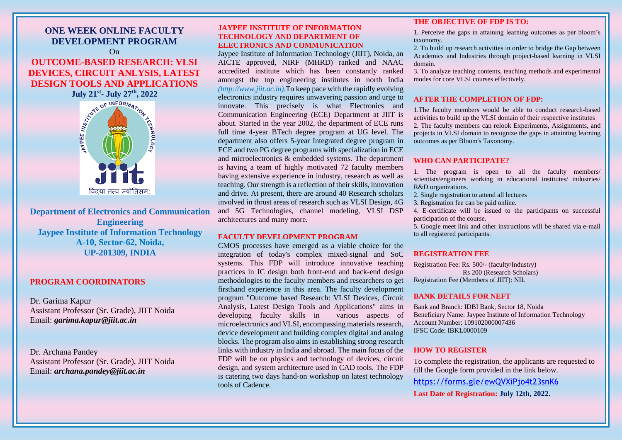# **ONE WEEK ONLINE FACULTY DEVELOPMENT PROGRAM** On **OUTCOME-BASED RESEARCH: VLSI DEVICES, CIRCUIT ANLYSIS, LATEST DESIGN TOOLS AND APPLICATIONS**

#### **JAYPEE INSTITUTE OF INFORMATION TECHNOLOGY AND DEPARTMENT OF ELECTRONICS AND COMMUNICATION**

Jaypee Institute of Information Technology (JIIT), Noida, an AICTE approved, NIRF (MHRD) ranked and NAAC accredited institute which has been constantly ranked amongst the top engineering institutes in north India *(http://www.jiit.ac.in).*To keep pace with the rapidly evolving electronics industry requires unwavering passion and urge to innovate. This precisely is what Electronics and Communication Engineering (ECE) Department at JIIT is about. Started in the year 2002, the department of ECE runs full time 4-year BTech degree program at UG level. The department also offers 5-year Integrated degree program in ECE and two PG degree programs with specialization in ECE and microelectronics & embedded systems. The department is having a team of highly motivated 72 faculty members having extensive experience in industry, research as well as teaching. Our strength is a reflection of their skills, innovation and drive. At present, there are around 40 Research scholars involved in thrust areas of research such as VLSI Design, 4G and 5G Technologies, channel modeling, VLSI DSP architectures and many more.

#### **FACULTY DEVELOPMENT PROGRAM**

CMOS processes have emerged as a viable choice for the integration of today's complex mixed-signal and SoC systems. This FDP will introduce innovative teaching practices in IC design both front-end and back-end design methodologies to the faculty members and researchers to get firsthand experience in this area. The faculty development program "Outcome based Research: VLSI Devices, Circuit Analysis, Latest Design Tools and Applications" aims in developing faculty skills in various aspects of microelectronics and VLSI, encompassing materials research, device development and building complex digital and analog blocks. The program also aims in establishing strong research links with industry in India and abroad. The main focus of the FDP will be on physics and technology of devices, circuit design, and system architecture used in CAD tools. The FDP is catering two days hand-on workshop on latest technology tools of Cadence.



### **THE OBJECTIVE OF FDP IS TO:**

1. Perceive the gaps in attaining learning outcomes as per bloom's

taxonomy.

2. To build up research activities in order to bridge the Gap between Academics and Industries through project-based learning in VLSI domain.

3. To analyze teaching contents, teaching methods and experimental modes for core VLSI courses effectively.

#### **AFTER THE COMPLETION OF FDP:**

1.The faculty members would be able to conduct research-based activities to build up the VLSI domain of their respective institutes 2. The faculty members can relook Experiments, Assignments, and projects in VLSI domain to recognize the gaps in attainting learning outcomes as per Bloom's Taxonomy.

#### **WHO CAN PARTICIPATE?**

1. The program is open to all the faculty members/ scientists/engineers working in educational institutes/ industries/ R&D organizations. 2. Single registration to attend all lectures 3. Registration fee can be paid online. 4. E-certificate will be issued to the participants on successful participation of the course. 5. Google meet link and other instructions will be shared via e-mail to all registered participants.

## **REGISTRATION FEE**

Registration Fee: Rs. 500/- (faculty/Industry) Rs 200 (Research Scholars) Registration Fee (Members of JIIT): NIL

#### **BANK DETAILS FOR NEFT**

Bank and Branch: IDBI Bank, Sector 18, Noida Beneficiary Name: Jaypee Institute of Information Technology Account Number: 109102000007436 IFSC Code: IBKL0000109

#### **HOW TO REGISTER**

To complete the registration, the applicants are requested to fill the Google form provided in the link below. <https://forms.gle/ewQVXiPjo4t23snK6>

**Last Date of Registration: July 12th, 2022.**

**Department of Electronics and Communication Engineering Jaypee Institute of Information Technology A-10, Sector-62, Noida, UP-201309, INDIA**

#### **PROGRAM COORDINATORS**

Dr. Garima Kapur Assistant Professor (Sr. Grade), JIIT Noida Email: *garima.kapur@jiit.ac.in*

Dr. Archana Pandey Assistant Professor (Sr. Grade), JIIT Noida Email: *archana.pandey@jiit.ac.in*